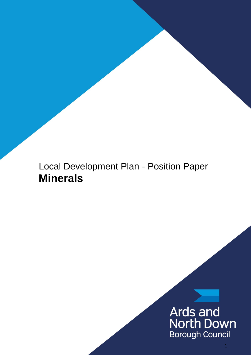# Local Development Plan - Position Paper **Minerals**

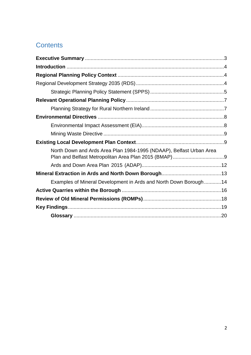# **Contents**

| North Down and Ards Area Plan 1984-1995 (NDAAP), Belfast Urban Area |  |
|---------------------------------------------------------------------|--|
|                                                                     |  |
|                                                                     |  |
| Examples of Mineral Development in Ards and North Down Borough14    |  |
|                                                                     |  |
|                                                                     |  |
|                                                                     |  |
|                                                                     |  |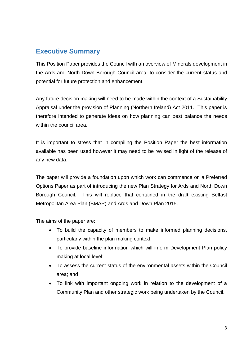# <span id="page-2-0"></span>**Executive Summary**

This Position Paper provides the Council with an overview of Minerals development in the Ards and North Down Borough Council area, to consider the current status and potential for future protection and enhancement.

Any future decision making will need to be made within the context of a Sustainability Appraisal under the provision of Planning (Northern Ireland) Act 2011. This paper is therefore intended to generate ideas on how planning can best balance the needs within the council area.

It is important to stress that in compiling the Position Paper the best information available has been used however it may need to be revised in light of the release of any new data.

The paper will provide a foundation upon which work can commence on a Preferred Options Paper as part of introducing the new Plan Strategy for Ards and North Down Borough Council. This will replace that contained in the draft existing Belfast Metropolitan Area Plan (BMAP) and Ards and Down Plan 2015.

The aims of the paper are:

- To build the capacity of members to make informed planning decisions, particularly within the plan making context;
- To provide baseline information which will inform Development Plan policy making at local level;
- To assess the current status of the environmental assets within the Council area; and
- To link with important ongoing work in relation to the development of a Community Plan and other strategic work being undertaken by the Council.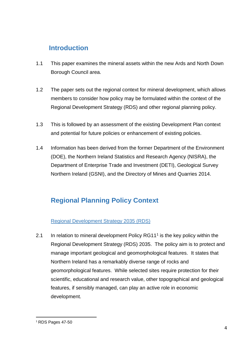# <span id="page-3-0"></span>**Introduction**

- 1.1 This paper examines the mineral assets within the new Ards and North Down Borough Council area.
- 1.2 The paper sets out the regional context for mineral development, which allows members to consider how policy may be formulated within the context of the Regional Development Strategy (RDS) and other regional planning policy.
- 1.3 This is followed by an assessment of the existing Development Plan context and potential for future policies or enhancement of existing policies.
- 1.4 Information has been derived from the former Department of the Environment (DOE), the Northern Ireland Statistics and Research Agency (NISRA), the Department of Enterprise Trade and Investment (DETI), Geological Survey Northern Ireland (GSNI), and the Directory of Mines and Quarries 2014.

# <span id="page-3-1"></span>**Regional Planning Policy Context**

### <span id="page-3-2"></span>Regional Development Strategy 2035 (RDS)

2.1 In relation to mineral development Policy RG11<sup>1</sup> is the key policy within the Regional Development Strategy (RDS) 2035. The policy aim is to protect and manage important geological and geomorphological features. It states that Northern Ireland has a remarkably diverse range of rocks and geomorphological features. While selected sites require protection for their scientific, educational and research value, other topographical and geological features, if sensibly managed, can play an active role in economic development.

<sup>-</sup><sup>1</sup> RDS Pages 47-50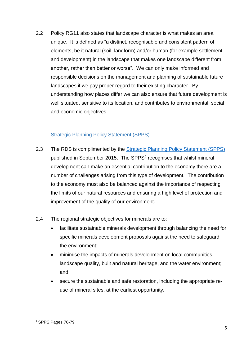2.2 Policy RG11 also states that landscape character is what makes an area unique. It is defined as "a distinct, recognisable and consistent pattern of elements, be it natural (soil, landform) and/or human (for example settlement and development) in the landscape that makes one landscape different from another, rather than better or worse". We can only make informed and responsible decisions on the management and planning of sustainable future landscapes if we pay proper regard to their existing character. By understanding how places differ we can also ensure that future development is well situated, sensitive to its location, and contributes to environmental, social and economic objectives.

### Strategic Planning Policy Statement (SPPS)

- <span id="page-4-0"></span>2.3 The RDS is complimented by the **Strategic Planning Policy Statement (SPPS)** published in September 2015. The SPPS<sup>2</sup> recognises that whilst mineral development can make an essential contribution to the economy there are a number of challenges arising from this type of development. The contribution to the economy must also be balanced against the importance of respecting the limits of our natural resources and ensuring a high level of protection and improvement of the quality of our environment.
- 2.4 The regional strategic objectives for minerals are to:
	- facilitate sustainable minerals development through balancing the need for specific minerals development proposals against the need to safeguard the environment;
	- minimise the impacts of minerals development on local communities, landscape quality, built and natural heritage, and the water environment; and
	- secure the sustainable and safe restoration, including the appropriate reuse of mineral sites, at the earliest opportunity.

<sup>-</sup><sup>2</sup> SPPS Pages 76-79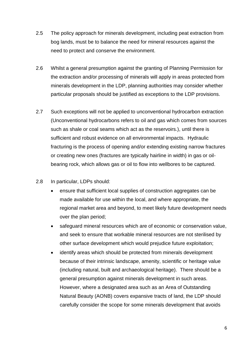- 2.5 The policy approach for minerals development, including peat extraction from bog lands, must be to balance the need for mineral resources against the need to protect and conserve the environment.
- 2.6 Whilst a general presumption against the granting of Planning Permission for the extraction and/or processing of minerals will apply in areas protected from minerals development in the LDP, planning authorities may consider whether particular proposals should be justified as exceptions to the LDP provisions.
- 2.7 Such exceptions will not be applied to unconventional hydrocarbon extraction (Unconventional hydrocarbons refers to oil and gas which comes from sources such as shale or coal seams which act as the reservoirs.), until there is sufficient and robust evidence on all environmental impacts. Hydraulic fracturing is the process of opening and/or extending existing narrow fractures or creating new ones (fractures are typically hairline in width) in gas or oilbearing rock, which allows gas or oil to flow into wellbores to be captured.

### 2.8 In particular, LDPs should:

- ensure that sufficient local supplies of construction aggregates can be made available for use within the local, and where appropriate, the regional market area and beyond, to meet likely future development needs over the plan period;
- safeguard mineral resources which are of economic or conservation value, and seek to ensure that workable mineral resources are not sterilised by other surface development which would prejudice future exploitation;
- identify areas which should be protected from minerals development because of their intrinsic landscape, amenity, scientific or heritage value (including natural, built and archaeological heritage). There should be a general presumption against minerals development in such areas. However, where a designated area such as an Area of Outstanding Natural Beauty (AONB) covers expansive tracts of land, the LDP should carefully consider the scope for some minerals development that avoids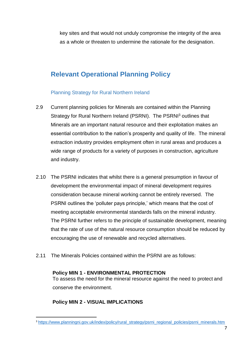key sites and that would not unduly compromise the integrity of the area as a whole or threaten to undermine the rationale for the designation.

# <span id="page-6-0"></span>**Relevant Operational Planning Policy**

### Planning Strategy for Rural Northern Ireland

- <span id="page-6-1"></span>2.9 Current planning policies for Minerals are contained within the Planning Strategy for Rural Northern Ireland (PSRNI). The PSRNI<sup>3</sup> outlines that Minerals are an important natural resource and their exploitation makes an essential contribution to the nation's prosperity and quality of life. The mineral extraction industry provides employment often in rural areas and produces a wide range of products for a variety of purposes in construction, agriculture and industry.
- 2.10 The PSRNI indicates that whilst there is a general presumption in favour of development the environmental impact of mineral development requires consideration because mineral working cannot be entirely reversed. The PSRNI outlines the 'polluter pays principle,' which means that the cost of meeting acceptable environmental standards falls on the mineral industry. The PSRNI further refers to the principle of sustainable development, meaning that the rate of use of the natural resource consumption should be reduced by encouraging the use of renewable and recycled alternatives.
- 2.11 The Minerals Policies contained within the PSRNI are as follows:

### **Policy MIN 1 - ENVIRONMENTAL PROTECTION**

To assess the need for the mineral resource against the need to protect and conserve the environment.

### **Policy MIN 2 - VISUAL IMPLICATIONS**

<sup>-</sup><sup>3</sup> [https://www.planningni.gov.uk/index/policy/rural\\_strategy/psrni\\_regional\\_policies/psrni\\_minerals.htm](https://www.planningni.gov.uk/index/policy/rural_strategy/psrni_regional_policies/psrni_minerals.htm)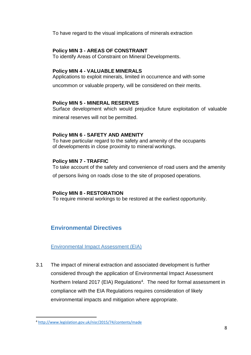To have regard to the visual implications of minerals extraction

### **Policy MIN 3 - AREAS OF CONSTRAINT**

To identify Areas of Constraint on Mineral Developments.

### **Policy MIN 4 - VALUABLE MINERALS**

Applications to exploit minerals, limited in occurrence and with some

uncommon or valuable property, will be considered on their merits.

### **Policy MIN 5 - MINERAL RESERVES**

Surface development which would prejudice future exploitation of valuable

mineral reserves will not be permitted.

### **Policy MIN 6 - SAFETY AND AMENITY**

To have particular regard to the safety and amenity of the occupants of developments in close proximity to mineral workings.

### **Policy MIN 7 - TRAFFIC**

To take account of the safety and convenience of road users and the amenity

of persons living on roads close to the site of proposed operations.

### **Policy MIN 8 - RESTORATION**

To require mineral workings to be restored at the earliest opportunity.

### <span id="page-7-0"></span>**Environmental Directives**

<span id="page-7-1"></span>Environmental Impact Assessment (EIA)

3.1 The impact of mineral extraction and associated development is further considered through the application of Environmental Impact Assessment Northern Ireland 2017 (EIA) Regulations<sup>4</sup>. The need for formal assessment in compliance with the EIA Regulations requires consideration of likely environmental impacts and mitigation where appropriate.

-

<sup>4</sup> <http://www.legislation.gov.uk/nisr/2015/74/contents/made>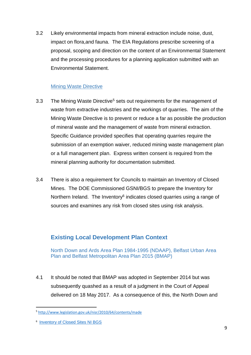3.2 Likely environmental impacts from mineral extraction include noise, dust, impact on flora,and fauna. The EIA Regulations prescribe screening of a proposal, scoping and direction on the content of an Environmental Statement and the processing procedures for a planning application submitted with an Environmental Statement.

### Mining Waste Directive

- <span id="page-8-0"></span>3.3 The Mining Waste Directive<sup>5</sup> sets out requirements for the management of waste from extractive industries and the workings of quarries. The aim of the Mining Waste Directive is to prevent or reduce a far as possible the production of mineral waste and the management of waste from mineral extraction. Specific Guidance provided specifies that operating quarries require the submission of an exemption waiver, reduced mining waste management plan or a full management plan. Express written consent is required from the mineral planning authority for documentation submitted.
- 3.4 There is also a requirement for Councils to maintain an Inventory of Closed Mines. The DOE Commissioned GSNI/BGS to prepare the Inventory for Northern Ireland. The Inventory<sup>6</sup> indicates closed quarries using a range of sources and examines any risk from closed sites using risk analysis.

### <span id="page-8-1"></span>**Existing Local Development Plan Context**

<span id="page-8-2"></span>North Down and Ards Area Plan 1984-1995 (NDAAP), Belfast Urban Area Plan and Belfast Metropolitan Area Plan 2015 (BMAP)

4.1 It should be noted that BMAP was adopted in September 2014 but was subsequently quashed as a result of a judgment in the Court of Appeal delivered on 18 May 2017. As a consequence of this, the North Down and

-

<sup>5</sup> <http://www.legislation.gov.uk/nisr/2010/64/contents/made>

<sup>&</sup>lt;sup>6</sup> [Inventory of Closed Sites NI BGS](file://///prndafs01.ards-council.gov.uk/lgrfileshare/planning/Development%20Plan/LDP%20Research/Edited%20Position%20Papers/Inventory%20of%20Closed%20Sites%20NI%20BGS)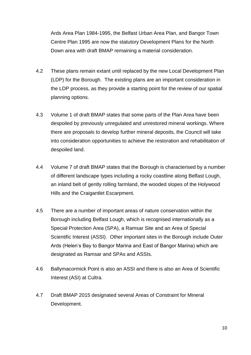Ards Area Plan 1984-1995, the Belfast Urban Area Plan, and Bangor Town Centre Plan 1995 are now the statutory Development Plans for the North Down area with draft BMAP remaining a material consideration.

- 4.2 These plans remain extant until replaced by the new Local Development Plan (LDP) for the Borough. The existing plans are an important consideration in the LDP process, as they provide a starting point for the review of our spatial planning options.
- 4.3 Volume 1 of draft BMAP states that some parts of the Plan Area have been despoiled by previously unregulated and unrestored mineral workings. Where there are proposals to develop further mineral deposits, the Council will take into consideration opportunities to achieve the restoration and rehabilitation of despoiled land.
- 4.4 Volume 7 of draft BMAP states that the Borough is characterised by a number of different landscape types including a rocky coastline along Belfast Lough, an inland belt of gently rolling farmland, the wooded slopes of the Holywood Hills and the Craigantlet Escarpment.
- 4.5 There are a number of important areas of nature conservation within the Borough including Belfast Lough, which is recognised internationally as a Special Protection Area (SPA), a Ramsar Site and an Area of Special Scientific Interest (ASSI). Other important sites in the Borough include Outer Ards (Helen's Bay to Bangor Marina and East of Bangor Marina) which are designated as Ramsar and SPAs and ASSIs.
- 4.6 Ballymacormick Point is also an ASSI and there is also an Area of Scientific Interest (ASI) at Cultra.
- 4.7 Draft BMAP 2015 designated several Areas of Constraint for Mineral Development.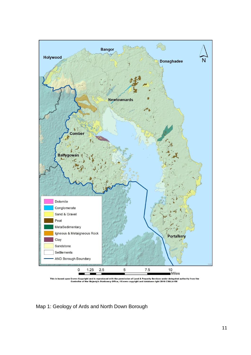

duced with the permission of Land & Property Services under delegated authority from the<br>tationery Office, ©Crown copyright and database right 2018 CS&LA156 **This** Cro  $Co<sub>1</sub>$ ight and is r .<br>Her Majesty Stati

### Map 1: Geology of Ards and North Down Borough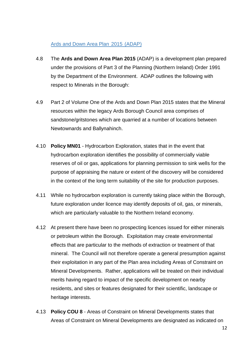### <span id="page-11-0"></span>Ards and Down Area Plan 2015 (ADAP)

- 4.8 The **Ards and Down Area Plan 2015** (ADAP) is a development plan prepared under the provisions of Part 3 of the Planning (Northern Ireland) Order 1991 by the Department of the Environment. ADAP outlines the following with respect to Minerals in the Borough:
- 4.9 Part 2 of Volume One of the Ards and Down Plan 2015 states that the Mineral resources within the legacy Ards Borough Council area comprises of sandstone/gritstones which are quarried at a number of locations between Newtownards and Ballynahinch.
- 4.10 **Policy MN01** Hydrocarbon Exploration, states that in the event that hydrocarbon exploration identifies the possibility of commercially viable reserves of oil or gas, applications for planning permission to sink wells for the purpose of appraising the nature or extent of the discovery will be considered in the context of the long term suitability of the site for production purposes.
- 4.11 While no hydrocarbon exploration is currently taking place within the Borough, future exploration under licence may identify deposits of oil, gas, or minerals, which are particularly valuable to the Northern Ireland economy.
- 4.12 At present there have been no prospecting licences issued for either minerals or petroleum within the Borough. Exploitation may create environmental effects that are particular to the methods of extraction or treatment of that mineral. The Council will not therefore operate a general presumption against their exploitation in any part of the Plan area including Areas of Constraint on Mineral Developments. Rather, applications will be treated on their individual merits having regard to impact of the specific development on nearby residents, and sites or features designated for their scientific, landscape or heritage interests.
- 4.13 **Policy COU 8**  Areas of Constraint on Mineral Developments states that Areas of Constraint on Mineral Developments are designated as indicated on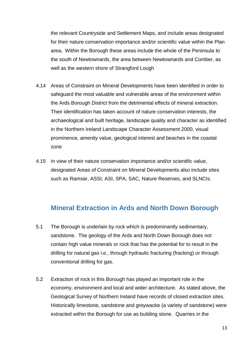the relevant Countryside and Settlement Maps, and include areas designated for their nature conservation importance and/or scientific value within the Plan area**.** Within the Borough these areas include the whole of the Peninsula to the south of Newtownards, the area between Newtownards and Comber, as well as the western shore of Strangford Lough

- 4.14 Areas of Constraint on Mineral Developments have been identified in order to safeguard the most valuable and vulnerable areas of the environment within the Ards Borough District from the detrimental effects of mineral extraction. Their identification has taken account of nature conservation interests, the archaeological and built heritage, landscape quality and character as identified in the Northern Ireland Landscape Character Assessment 2000, visual prominence, amenity value, geological interest and beaches in the coastal zone
- 4.15 In view of their nature conservation importance and/or scientific value, designated Areas of Constraint on Mineral Developments also include sites such as Ramsar, ASSI, ASI, SPA, SAC, Nature Reserves, and SLNCIs.

### <span id="page-12-0"></span>**Mineral Extraction in Ards and North Down Borough**

- 5.1 The Borough is underlain by rock which is predominantly sedimentary, sandstone. The geology of the Ards and North Down Borough does not contain high value minerals or rock that has the potential for to result in the drilling for natural gas i.e., through hydraulic fracturing (fracking) or through conventional drilling for gas.
- 5.2 Extraction of rock in this Borough has played an important role in the economy, environment and local and wider architecture. As stated above, the Geological Survey of Northern Ireland have records of closed extraction sites. Historically limestone, sandstone and greywacke (a variety of sandstone) were extracted within the Borough for use as building stone. Quarries in the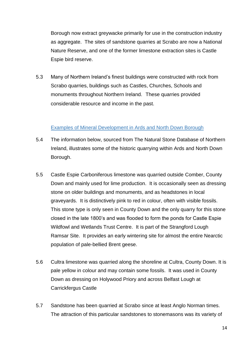Borough now extract greywacke primarily for use in the construction industry as aggregate. The sites of sandstone quarries at Scrabo are now a National Nature Reserve, and one of the former limestone extraction sites is Castle Espie bird reserve.

5.3 Many of Northern Ireland's finest buildings were constructed with rock from Scrabo quarries, buildings such as Castles, Churches, Schools and monuments throughout Northern Ireland. These quarries provided considerable resource and income in the past.

### Examples of Mineral Development in Ards and North Down Borough

- <span id="page-13-0"></span>5.4 The information below, sourced from The Natural Stone Database of Northern Ireland, illustrates some of the historic quarrying within Ards and North Down Borough.
- 5.5 Castle Espie Carboniferous limestone was quarried outside Comber, County Down and mainly used for lime production. It is occasionally seen as dressing stone on older buildings and monuments, and as headstones in local graveyards. It is distinctively pink to red in colour, often with visible fossils. This stone type is only seen in County Down and the only quarry for this stone closed in the late 1800's and was flooded to form the ponds for Castle Espie Wildfowl and Wetlands Trust Centre. It is part of the Strangford Lough Ramsar Site. It provides an early wintering site for almost the entire Nearctic population of pale-bellied Brent geese.
- 5.6 Cultra limestone was quarried along the shoreline at Cultra, County Down. It is pale yellow in colour and may contain some fossils. It was used in County Down as dressing on Holywood Priory and across Belfast Lough at Carrickfergus Castle
- 5.7 Sandstone has been quarried at Scrabo since at least Anglo Norman times. The attraction of this particular sandstones to stonemasons was its variety of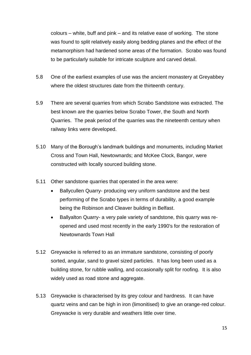colours – white, buff and pink – and its relative ease of working. The stone was found to split relatively easily along bedding planes and the effect of the metamorphism had hardened some areas of the formation. Scrabo was found to be particularly suitable for intricate sculpture and carved detail.

- 5.8 One of the earliest examples of use was the ancient monastery at Greyabbey where the oldest structures date from the thirteenth century.
- 5.9 There are several quarries from which Scrabo Sandstone was extracted. The best known are the quarries below Scrabo Tower, the South and North Quarries. The peak period of the quarries was the nineteenth century when railway links were developed.
- 5.10 Many of the Borough's landmark buildings and monuments, including Market Cross and Town Hall, Newtownards; and McKee Clock, Bangor, were constructed with locally sourced building stone.
- 5.11 Other sandstone quarries that operated in the area were:
	- Ballycullen Quarry- producing very uniform sandstone and the best performing of the Scrabo types in terms of durability, a good example being the Robinson and Cleaver building in Belfast.
	- Ballyalton Quarry- a very pale variety of sandstone, this quarry was reopened and used most recently in the early 1990's for the restoration of Newtownards Town Hall
- 5.12 Greywacke is referred to as an immature sandstone, consisting of poorly sorted, angular, sand to gravel sized particles. It has long been used as a building stone, for rubble walling, and occasionally split for roofing. It is also widely used as road stone and aggregate.
- 5.13 Greywacke is characterised by its grey colour and hardness. It can have quartz veins and can be high in iron (limonitised) to give an orange-red colour. Greywacke is very durable and weathers little over time.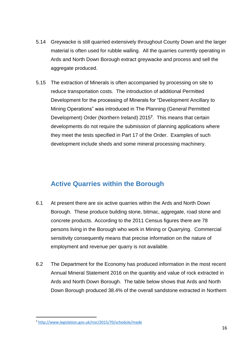- 5.14 Greywacke is still quarried extensively throughout County Down and the larger material is often used for rubble walling. All the quarries currently operating in Ards and North Down Borough extract greywacke and process and sell the aggregate produced.
- 5.15 The extraction of Minerals is often accompanied by processing on site to reduce transportation costs. The introduction of additional Permitted Development for the processing of Minerals for "Development Ancillary to Mining Operations" was introduced in The Planning (General Permitted Development) Order (Northern Ireland) 2015**<sup>7</sup>** . This means that certain developments do not require the submission of planning applications where they meet the tests specified in Part 17 of the Order. Examples of such development include sheds and some mineral processing machinery.

# <span id="page-15-0"></span>**Active Quarries within the Borough**

- 6.1 At present there are six active quarries within the Ards and North Down Borough. These produce building stone, bitmac, aggregate, road stone and concrete products. According to the 2011 Census figures there are 78 persons living in the Borough who work in Mining or Quarrying. Commercial sensitivity consequently means that precise information on the nature of employment and revenue per quarry is not available.
- 6.2 The Department for the Economy has produced information in the most recent Annual Mineral Statement 2016 on the quantity and value of rock extracted in Ards and North Down Borough. The table below shows that Ards and North Down Borough produced 38.4% of the overall sandstone extracted in Northern

-

<sup>7</sup> <http://www.legislation.gov.uk/nisr/2015/70/schedule/made>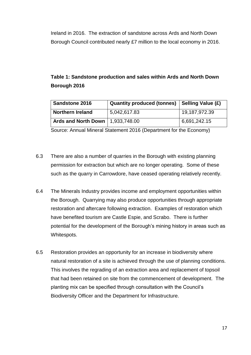Ireland in 2016. The extraction of sandstone across Ards and North Down Borough Council contributed nearly £7 million to the local economy in 2016.

### **Table 1: Sandstone production and sales within Ards and North Down Borough 2016**

| <b>Sandstone 2016</b>                     | <b>Quantity produced (tonnes)</b> | Selling Value (£) |
|-------------------------------------------|-----------------------------------|-------------------|
| <b>Northern Ireland</b>                   | 5,042,617.83                      | 19,187,972.39     |
| <b>Ards and North Down</b>   1,933,748.00 |                                   | 6,691,242.15      |

Source: Annual Mineral Statement 2016 (Department for the Economy)

- 6.3 There are also a number of quarries in the Borough with existing planning permission for extraction but which are no longer operating. Some of these such as the quarry in Carrowdore, have ceased operating relatively recently.
- 6.4 The Minerals Industry provides income and employment opportunities within the Borough. Quarrying may also produce opportunities through appropriate restoration and aftercare following extraction. Examples of restoration which have benefited tourism are Castle Espie, and Scrabo. There is further potential for the development of the Borough's mining history in areas such as Whitespots.
- 6.5 Restoration provides an opportunity for an increase in biodiversity where natural restoration of a site is achieved through the use of planning conditions. This involves the regrading of an extraction area and replacement of topsoil that had been retained on site from the commencement of development. The planting mix can be specified through consultation with the Council's Biodiversity Officer and the Department for Infrastructure.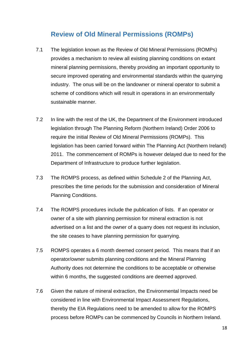# <span id="page-17-0"></span>**Review of Old Mineral Permissions (ROMPs)**

- 7.1 The legislation known as the Review of Old Mineral Permissions (ROMPs) provides a mechanism to review all existing planning conditions on extant mineral planning permissions, thereby providing an important opportunity to secure improved operating and environmental standards within the quarrying industry. The onus will be on the landowner or mineral operator to submit a scheme of conditions which will result in operations in an environmentally sustainable manner.
- 7.2 In line with the rest of the UK, the Department of the Environment introduced legislation through The Planning Reform (Northern Ireland) Order 2006 to require the initial Review of Old Mineral Permissions (ROMPs). This legislation has been carried forward within The Planning Act (Northern Ireland) 2011. The commencement of ROMPs is however delayed due to need for the Department of Infrastructure to produce further legislation.
- 7.3 The ROMPS process, as defined within Schedule 2 of the Planning Act, prescribes the time periods for the submission and consideration of Mineral Planning Conditions.
- 7.4 The ROMPS procedures include the publication of lists. If an operator or owner of a site with planning permission for mineral extraction is not advertised on a list and the owner of a quarry does not request its inclusion, the site ceases to have planning permission for quarrying.
- 7.5 ROMPS operates a 6 month deemed consent period. This means that if an operator/owner submits planning conditions and the Mineral Planning Authority does not determine the conditions to be acceptable or otherwise within 6 months, the suggested conditions are deemed approved.
- 7.6 Given the nature of mineral extraction, the Environmental Impacts need be considered in line with Environmental Impact Assessment Regulations, thereby the EIA Regulations need to be amended to allow for the ROMPS process before ROMPs can be commenced by Councils in Northern Ireland.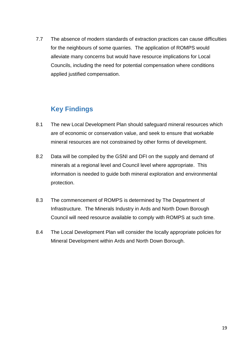7.7 The absence of modern standards of extraction practices can cause difficulties for the neighbours of some quarries. The application of ROMPS would alleviate many concerns but would have resource implications for Local Councils, including the need for potential compensation where conditions applied justified compensation.

# <span id="page-18-0"></span>**Key Findings**

- 8.1 The new Local Development Plan should safeguard mineral resources which are of economic or conservation value, and seek to ensure that workable mineral resources are not constrained by other forms of development.
- 8.2 Data will be compiled by the GSNI and DFI on the supply and demand of minerals at a regional level and Council level where appropriate. This information is needed to guide both mineral exploration and environmental protection.
- 8.3 The commencement of ROMPS is determined by The Department of Infrastructure. The Minerals Industry in Ards and North Down Borough Council will need resource available to comply with ROMPS at such time.
- 8.4 The Local Development Plan will consider the locally appropriate policies for Mineral Development within Ards and North Down Borough.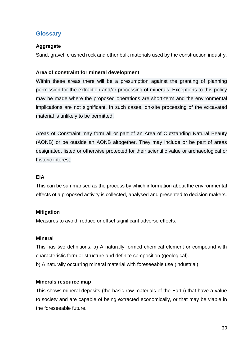### <span id="page-19-0"></span>**Glossary**

### **Aggregate**

Sand, gravel, crushed rock and other bulk materials used by the construction industry.

### **Area of constraint for mineral development**

Within these areas there will be a presumption against the granting of planning permission for the extraction and/or processing of minerals. Exceptions to this policy may be made where the proposed operations are short-term and the environmental implications are not significant. In such cases, on-site processing of the excavated material is unlikely to be permitted.

Areas of Constraint may form all or part of an Area of Outstanding Natural Beauty (AONB) or be outside an AONB altogether. They may include or be part of areas designated, listed or otherwise protected for their scientific value or archaeological or historic interest.

### **EIA**

This can be summarised as the process by which information about the environmental effects of a proposed activity is collected, analysed and presented to decision makers.

### **Mitigation**

Measures to avoid, reduce or offset significant adverse effects.

### **Mineral**

This has two definitions. a) A naturally formed chemical element or compound with characteristic form or structure and definite composition (geological).

b) A naturally occurring mineral material with foreseeable use (industrial).

### **Minerals resource map**

This shows mineral deposits (the basic raw materials of the Earth) that have a value to society and are capable of being extracted economically, or that may be viable in the foreseeable future.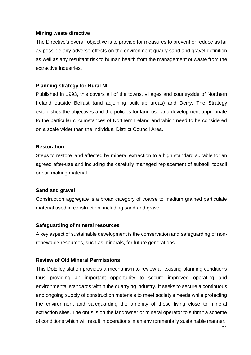### **Mining waste directive**

The Directive's overall objective is to provide for measures to prevent or reduce as far as possible any adverse effects on the environment quarry sand and gravel definition as well as any resultant risk to human health from the management of waste from the extractive industries.

### **Planning strategy for Rural NI**

Published in 1993, this covers all of the towns, villages and countryside of Northern Ireland outside Belfast (and adjoining built up areas) and Derry. The Strategy establishes the objectives and the policies for land use and development appropriate to the particular circumstances of Northern Ireland and which need to be considered on a scale wider than the individual District Council Area.

### **Restoration**

Steps to restore land affected by mineral extraction to a high standard suitable for an agreed after-use and including the carefully managed replacement of subsoil, topsoil or soil-making material.

### **Sand and gravel**

Construction aggregate is a broad category of coarse to medium grained particulate material used in construction, including sand and gravel.

### **Safeguarding of mineral resources**

A key aspect of sustainable development is the conservation and safeguarding of nonrenewable resources, such as minerals, for future generations.

### **Review of Old Mineral Permissions**

This DoE legislation provides a mechanism to review all existing planning conditions thus providing an important opportunity to secure improved operating and environmental standards within the quarrying industry. It seeks to secure a continuous and ongoing supply of construction materials to meet society's needs while protecting the environment and safeguarding the amenity of those living close to mineral extraction sites. The onus is on the landowner or mineral operator to submit a scheme of conditions which will result in operations in an environmentally sustainable manner.